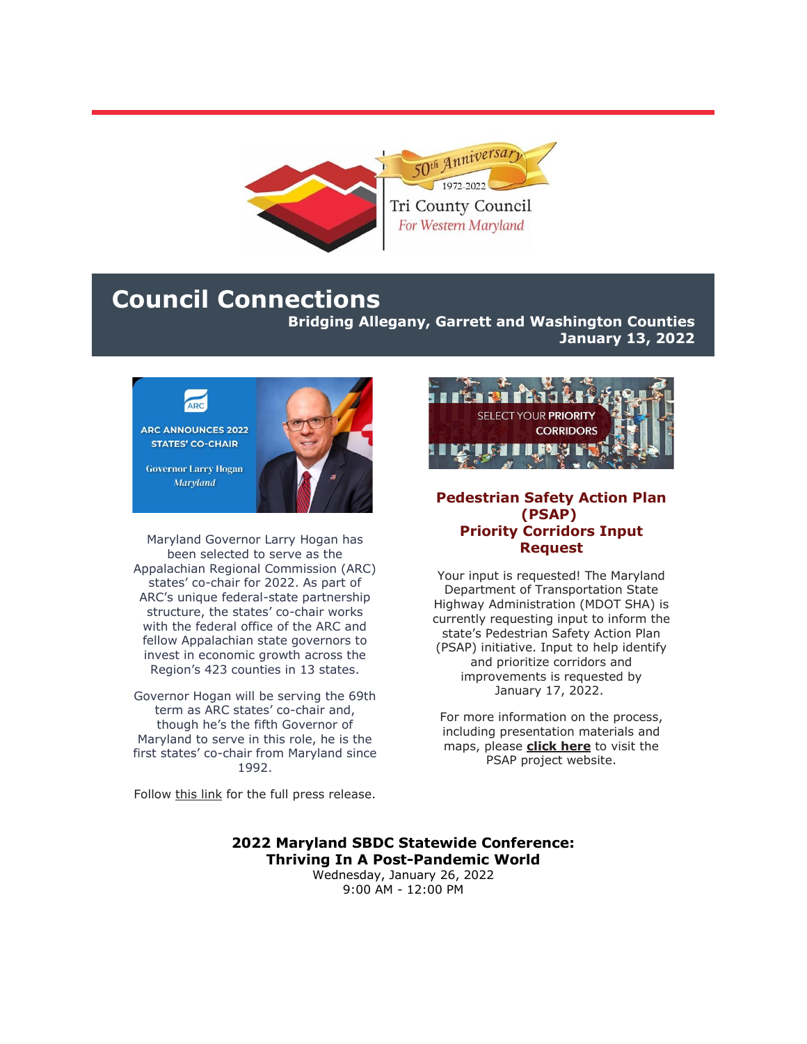

### **Council Connections**

**Bridging Allegany, Garrett and Washington Counties**

**January 13, 2022**



Maryland Governor Larry Hogan has been selected to serve as the Appalachian Regional Commission (ARC) states' co-chair for 2022. As part of ARC's unique federal-state partnership structure, the states' co-chair works with the federal office of the ARC and fellow Appalachian state governors to invest in economic growth across the Region's 423 counties in 13 states.

Governor Hogan will be serving the 69th term as ARC states' co-chair and, though he's the fifth Governor of Maryland to serve in this role, he is the first states' co-chair from Maryland since 1992.



#### **Pedestrian Safety Action Plan (PSAP) Priority Corridors Input Request**

Your input is requested! The Maryland Department of Transportation State Highway Administration (MDOT SHA) is currently requesting input to inform the state's Pedestrian Safety Action Plan (PSAP) initiative. Input to help identify and prioritize corridors and improvements is requested by January 17, 2022.

For more information on the process, including presentation materials and maps, please **[click here](https://r20.rs6.net/tn.jsp?f=001gUCysx51XIkYp7tU8qTuQ1f4M3b91obvHba0yV5nX-nHuaFNK0sCRbUcpIC_pRws9B_EZDCOroRTIdhkPrICBunXlXH_G8SqwDjGQ9oEXlpeRQPUXKOybzynIA6Ti7urpPmDEtRrVh99rDDg5mIO67dXAnzzMKEny9fAqF9wqiGJ_XONEbn4BYhNMz__xQWZ7v83fOt4-5oYrYCn8Mlj04p2ia19-GasYi7-veWTkIhKRUwlYLSnLA==&c=IOxf223ju-RjCNxBler5KDEP9dNgKCM8SS1SCa6xAr2Tf0EGonv3Ig==&ch=aBZXQKHUSiXaYF9jCj1jBaBYnY0bUxfgHgd7grvYZk6Ece1NCu2kkA==)** to visit the PSAP project website.

Follow [this link](https://r20.rs6.net/tn.jsp?f=001gUCysx51XIkYp7tU8qTuQ1f4M3b91obvHba0yV5nX-nHuaFNK0sCRbUcpIC_pRwsocC0Dzz0ddrKsCKV95jMRnAaKg4F2Gsq5_TCdJS0dWs32EZHl4S-kDm_3uH05_sO1AT3UB3tcSDawl9EzM5Mbbe-UZF1aOb2db-MNscmFS6QyufWmnw4tqbzkc2itbsqyc8R4txliYoO0FZNO_QnKElyO94qJNcs8D8L1FzYKwDN0ni9DneBsNAzUNfoG71mz4snLfIZXpw=&c=IOxf223ju-RjCNxBler5KDEP9dNgKCM8SS1SCa6xAr2Tf0EGonv3Ig==&ch=aBZXQKHUSiXaYF9jCj1jBaBYnY0bUxfgHgd7grvYZk6Ece1NCu2kkA==) for the full press release.

#### **2022 Maryland SBDC Statewide Conference: Thriving In A Post-Pandemic World**

Wednesday, January 26, 2022 9:00 AM - 12:00 PM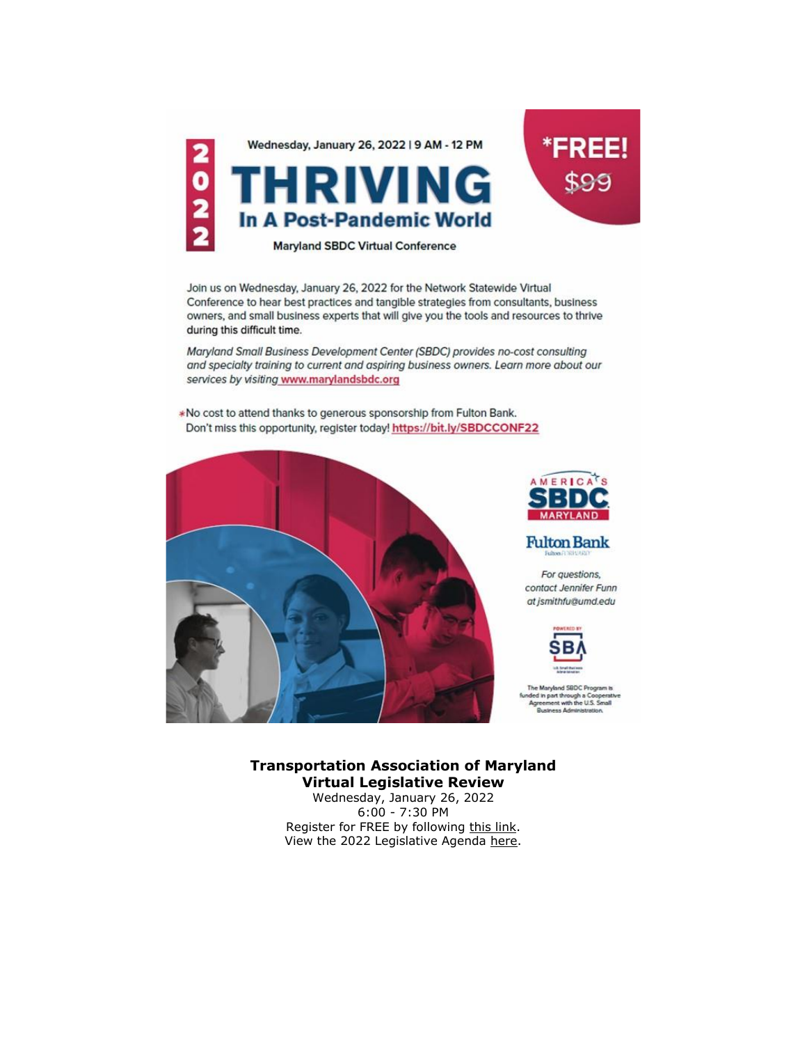

Join us on Wednesday, January 26, 2022 for the Network Statewide Virtual Conference to hear best practices and tangible strategies from consultants, business owners, and small business experts that will give you the tools and resources to thrive during this difficult time.

Maryland Small Business Development Center (SBDC) provides no-cost consulting and specialty training to current and aspiring business owners. Learn more about our services by visiting www.marylandsbdc.org

\*No cost to attend thanks to generous sponsorship from Fulton Bank. Don't miss this opportunity, register today! https://bit.ly/SBDCCONF22





**Fulton Bank** 

For questions, contact Jennifer Funn at jsmithfu@umd.edu



The Maryland SBDC Program to ne maryand asuu Program e<br>ded in part through a Coopera<br>Agreement with the U.S. Small<br>Business Administration.

#### **Transportation Association of Maryland Virtual Legislative Review**

Wednesday, January 26, 2022 6:00 - 7:30 PM Register for FREE by following [this link.](https://r20.rs6.net/tn.jsp?f=001gUCysx51XIkYp7tU8qTuQ1f4M3b91obvHba0yV5nX-nHuaFNK0sCRbUcpIC_pRws6ZFwwm5O28Ie8Yq8YOd8bOpQcmyG1cnOW-RRwN0vVolgHu1dIWF9BPLyRAouCt9NAOQkZ_ryqJBMszElQ_VdFtfmkbBlnTeDLdz6ItJeq0E=&c=IOxf223ju-RjCNxBler5KDEP9dNgKCM8SS1SCa6xAr2Tf0EGonv3Ig==&ch=aBZXQKHUSiXaYF9jCj1jBaBYnY0bUxfgHgd7grvYZk6Ece1NCu2kkA==) View the 2022 Legislative Agenda [here.](https://r20.rs6.net/tn.jsp?f=001gUCysx51XIkYp7tU8qTuQ1f4M3b91obvHba0yV5nX-nHuaFNK0sCRbUcpIC_pRwsJsqn5Z2MCO7RWX_AsnXGLdL0Yf1uND4QgFlFzLryHOAanckvr4GFHP08ZUJ4Z-CC7cscmgRZAJlcp3V5HTpD5IN-eTYT5fyxn6S0li7bZSr8XSd8BSZUaMkXrwiyy0_nUB1fpMVM6rLMG-P_1DoCOQ==&c=IOxf223ju-RjCNxBler5KDEP9dNgKCM8SS1SCa6xAr2Tf0EGonv3Ig==&ch=aBZXQKHUSiXaYF9jCj1jBaBYnY0bUxfgHgd7grvYZk6Ece1NCu2kkA==)